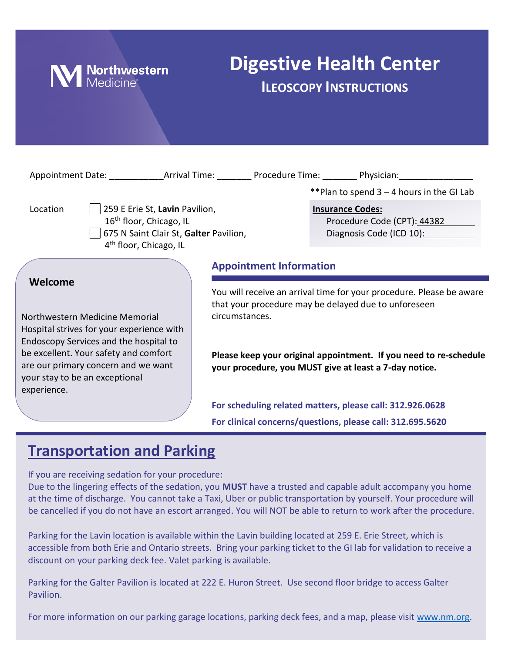

# **Digestive Health Center ILEOSCOPY INSTRUCTIONS**

|                                                                                                                                                                                                                                                                   |                |                                | **Plan to spend $3 - 4$ hours in the GI Lab                                                                                                                                                                                                                 |
|-------------------------------------------------------------------------------------------------------------------------------------------------------------------------------------------------------------------------------------------------------------------|----------------|--------------------------------|-------------------------------------------------------------------------------------------------------------------------------------------------------------------------------------------------------------------------------------------------------------|
| 259 E Erie St, Lavin Pavilion,<br>Location<br>16 <sup>th</sup> floor, Chicago, IL<br>675 N Saint Clair St, Galter Pavilion,<br>4 <sup>th</sup> floor, Chicago, IL                                                                                                 |                |                                | <b>Insurance Codes:</b><br>Procedure Code (CPT): 44382                                                                                                                                                                                                      |
|                                                                                                                                                                                                                                                                   |                | <b>Appointment Information</b> |                                                                                                                                                                                                                                                             |
| Welcome<br>Northwestern Medicine Memorial<br>Hospital strives for your experience with<br>Endoscopy Services and the hospital to<br>be excellent. Your safety and comfort<br>are our primary concern and we want<br>your stay to be an exceptional<br>experience. | circumstances. |                                | You will receive an arrival time for your procedure. Please be aware<br>that your procedure may be delayed due to unforeseen<br>Please keep your original appointment. If you need to re-schedule<br>your procedure, you MUST give at least a 7-day notice. |
|                                                                                                                                                                                                                                                                   |                |                                | For scheduling related matters, please call: 312.926.0628<br>For clinical concerns/questions, please call: 312.695.5620                                                                                                                                     |

## **Transportation and Parking**

If you are receiving sedation for your procedure:

Due to the lingering effects of the sedation, you **MUST** have a trusted and capable adult accompany you home at the time of discharge. You cannot take a Taxi, Uber or public transportation by yourself. Your procedure will be cancelled if you do not have an escort arranged. You will NOT be able to return to work after the procedure.

Parking for the Lavin location is available within the Lavin building located at 259 E. Erie Street, which is accessible from both Erie and Ontario streets. Bring your parking ticket to the GI lab for validation to receive a discount on your parking deck fee. Valet parking is available.

Parking for the Galter Pavilion is located at 222 E. Huron Street. Use second floor bridge to access Galter Pavilion.

For more information on our parking garage locations, parking deck fees, and a map, please visit [www.nm.org.](http://www.nm.org/)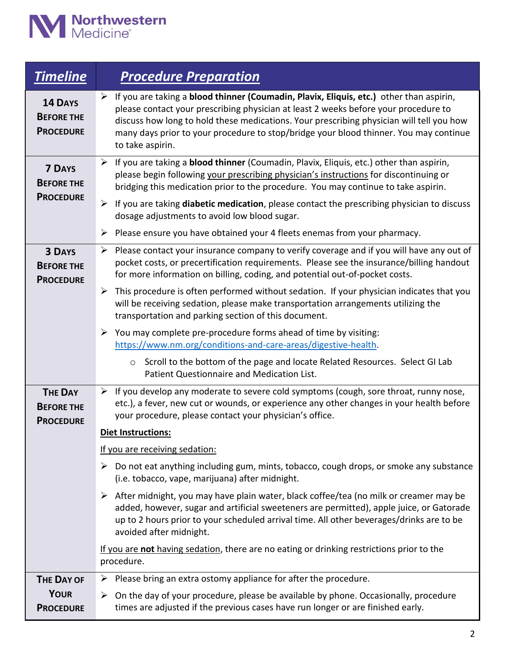

| <b>Timeline</b>                                         | <b>Procedure Preparation</b>                                                                                                                                                                                                                                                                                                                                                                                                          |
|---------------------------------------------------------|---------------------------------------------------------------------------------------------------------------------------------------------------------------------------------------------------------------------------------------------------------------------------------------------------------------------------------------------------------------------------------------------------------------------------------------|
| 14 DAYS<br><b>BEFORE THE</b><br><b>PROCEDURE</b>        | $\triangleright$ If you are taking a <b>blood thinner (Coumadin, Plavix, Eliquis, etc.)</b> other than aspirin,<br>please contact your prescribing physician at least 2 weeks before your procedure to<br>discuss how long to hold these medications. Your prescribing physician will tell you how<br>many days prior to your procedure to stop/bridge your blood thinner. You may continue<br>to take aspirin.                       |
| <b>7 DAYS</b><br><b>BEFORE THE</b><br><b>PROCEDURE</b>  | If you are taking a <b>blood thinner</b> (Coumadin, Plavix, Eliquis, etc.) other than aspirin,<br>➤<br>please begin following your prescribing physician's instructions for discontinuing or<br>bridging this medication prior to the procedure. You may continue to take aspirin.<br>If you are taking diabetic medication, please contact the prescribing physician to discuss<br>➤<br>dosage adjustments to avoid low blood sugar. |
|                                                         | Please ensure you have obtained your 4 fleets enemas from your pharmacy.<br>➤                                                                                                                                                                                                                                                                                                                                                         |
| <b>3 DAYS</b><br><b>BEFORE THE</b><br><b>PROCEDURE</b>  | $\triangleright$ Please contact your insurance company to verify coverage and if you will have any out of<br>pocket costs, or precertification requirements. Please see the insurance/billing handout<br>for more information on billing, coding, and potential out-of-pocket costs.                                                                                                                                                  |
|                                                         | This procedure is often performed without sedation. If your physician indicates that you<br>➤<br>will be receiving sedation, please make transportation arrangements utilizing the<br>transportation and parking section of this document.                                                                                                                                                                                            |
|                                                         | $\triangleright$ You may complete pre-procedure forms ahead of time by visiting:<br>https://www.nm.org/conditions-and-care-areas/digestive-health.                                                                                                                                                                                                                                                                                    |
|                                                         | Scroll to the bottom of the page and locate Related Resources. Select GI Lab<br>$\circ$<br>Patient Questionnaire and Medication List.                                                                                                                                                                                                                                                                                                 |
| <b>THE DAY</b><br><b>BEFORE THE</b><br><b>PROCEDURE</b> | $\triangleright$ If you develop any moderate to severe cold symptoms (cough, sore throat, runny nose,<br>etc.), a fever, new cut or wounds, or experience any other changes in your health before<br>your procedure, please contact your physician's office.                                                                                                                                                                          |
|                                                         | <b>Diet Instructions:</b>                                                                                                                                                                                                                                                                                                                                                                                                             |
|                                                         | If you are receiving sedation:                                                                                                                                                                                                                                                                                                                                                                                                        |
|                                                         | $\triangleright$ Do not eat anything including gum, mints, tobacco, cough drops, or smoke any substance<br>(i.e. tobacco, vape, marijuana) after midnight.                                                                                                                                                                                                                                                                            |
|                                                         | $\triangleright$ After midnight, you may have plain water, black coffee/tea (no milk or creamer may be<br>added, however, sugar and artificial sweeteners are permitted), apple juice, or Gatorade<br>up to 2 hours prior to your scheduled arrival time. All other beverages/drinks are to be<br>avoided after midnight.                                                                                                             |
|                                                         | If you are not having sedation, there are no eating or drinking restrictions prior to the<br>procedure.                                                                                                                                                                                                                                                                                                                               |
| <b>THE DAY OF</b>                                       | Please bring an extra ostomy appliance for after the procedure.<br>➤                                                                                                                                                                                                                                                                                                                                                                  |
| <b>YOUR</b><br><b>PROCEDURE</b>                         | $\triangleright$ On the day of your procedure, please be available by phone. Occasionally, procedure<br>times are adjusted if the previous cases have run longer or are finished early.                                                                                                                                                                                                                                               |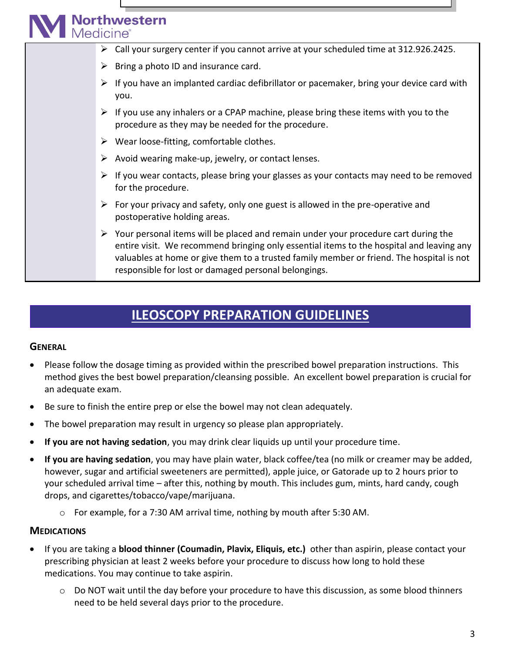# **Northwestern**<br>Medicine<sup>®</sup>

- ➢ Call your surgery center if you cannot arrive at your scheduled time at 312.926.2425.
- $\triangleright$  Bring a photo ID and insurance card.
- $\triangleright$  If you have an implanted cardiac defibrillator or pacemaker, bring your device card with you.
- $\triangleright$  If you use any inhalers or a CPAP machine, please bring these items with you to the procedure as they may be needed for the procedure.
- $\triangleright$  Wear loose-fitting, comfortable clothes.
- $\triangleright$  Avoid wearing make-up, jewelry, or contact lenses.
- $\triangleright$  If you wear contacts, please bring your glasses as your contacts may need to be removed for the procedure.
- $\triangleright$  For your privacy and safety, only one guest is allowed in the pre-operative and postoperative holding areas.
- $\triangleright$  Your personal items will be placed and remain under your procedure cart during the entire visit. We recommend bringing only essential items to the hospital and leaving any valuables at home or give them to a trusted family member or friend. The hospital is not responsible for lost or damaged personal belongings.

## **ILEOSCOPY PREPARATION GUIDELINES**

#### **GENERAL**

- Please follow the dosage timing as provided within the prescribed bowel preparation instructions. This method gives the best bowel preparation/cleansing possible. An excellent bowel preparation is crucial for an adequate exam.
- Be sure to finish the entire prep or else the bowel may not clean adequately.
- The bowel preparation may result in urgency so please plan appropriately.
- **If you are not having sedation**, you may drink clear liquids up until your procedure time.
- **If you are having sedation**, you may have plain water, black coffee/tea (no milk or creamer may be added, however, sugar and artificial sweeteners are permitted), apple juice, or Gatorade up to 2 hours prior to your scheduled arrival time – after this, nothing by mouth. This includes gum, mints, hard candy, cough drops, and cigarettes/tobacco/vape/marijuana.
	- o For example, for a 7:30 AM arrival time, nothing by mouth after 5:30 AM.

#### **MEDICATIONS**

- If you are taking a **blood thinner (Coumadin, Plavix, Eliquis, etc.)** other than aspirin, please contact your prescribing physician at least 2 weeks before your procedure to discuss how long to hold these medications. You may continue to take aspirin.
	- o Do NOT wait until the day before your procedure to have this discussion, as some blood thinners need to be held several days prior to the procedure.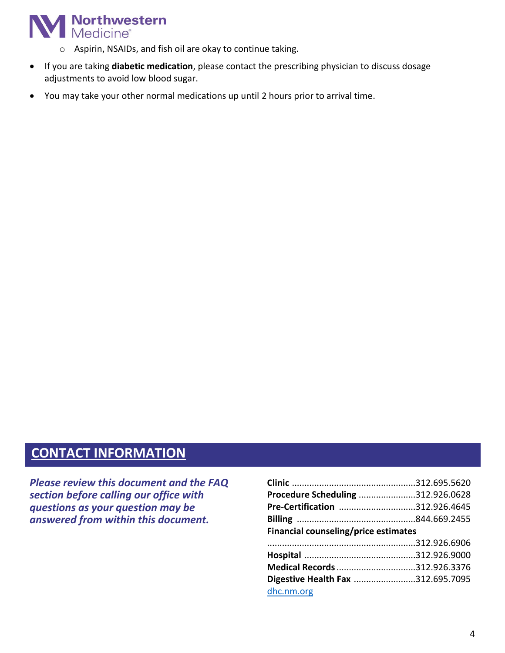

- o Aspirin, NSAIDs, and fish oil are okay to continue taking.
- If you are taking **diabetic medication**, please contact the prescribing physician to discuss dosage adjustments to avoid low blood sugar.
- You may take your other normal medications up until 2 hours prior to arrival time.

### **CONTACT INFORMATION**

*Please review this document and the FAQ section before calling our office with questions as your question may be answered from within this document.*

| Procedure Scheduling 312.926.0628    |  |  |  |
|--------------------------------------|--|--|--|
| Pre-Certification 312.926.4645       |  |  |  |
|                                      |  |  |  |
| Financial counseling/price estimates |  |  |  |
|                                      |  |  |  |
|                                      |  |  |  |
|                                      |  |  |  |
| Medical Records 312.926.3376         |  |  |  |
| Digestive Health Fax 312.695.7095    |  |  |  |